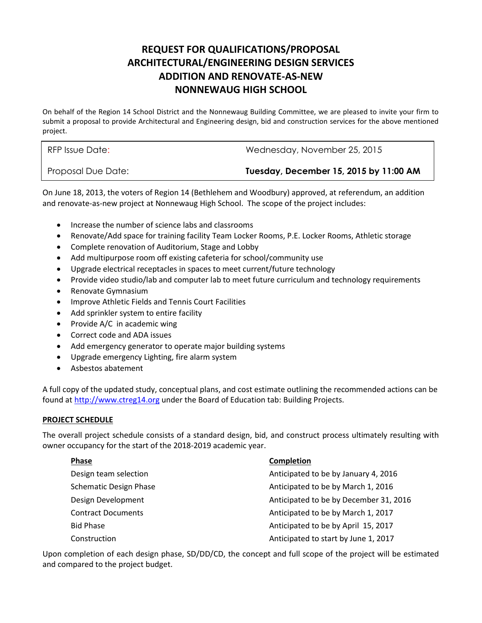# **REQUEST FOR QUALIFICATIONS/PROPOSAL ARCHITECTURAL/ENGINEERING DESIGN SERVICES ADDITION AND RENOVATE-AS-NEW NONNEWAUG HIGH SCHOOL**

 On behalf of the Region 14 School District and the Nonnewaug Building Committee, we are pleased to invite your firm to submit a proposal to provide Architectural and Engineering design, bid and construction services for the above mentioned project.

RFP Issue Date: Wednesday, November 25, 2015

Proposal Due Date: **Tuesday, December 15, 2015 by 11:00 AM** 

 and renovate-as-new project at Nonnewaug High School. The scope of the project includes: On June 18, 2013, the voters of Region 14 (Bethlehem and Woodbury) approved, at referendum, an addition

- Increase the number of science labs and classrooms
- Renovate/Add space for training facility Team Locker Rooms, P.E. Locker Rooms, Athletic storage
- Complete renovation of Auditorium, Stage and Lobby
- Add multipurpose room off existing cafeteria for school/community use
- Upgrade electrical receptacles in spaces to meet current/future technology
- Provide video studio/lab and computer lab to meet future curriculum and technology requirements
- Renovate Gymnasium
- Improve Athletic Fields and Tennis Court Facilities
- Add sprinkler system to entire facility
- Provide A/C in academic wing
- Correct code and ADA issues
- Add emergency generator to operate major building systems
- Upgrade emergency Lighting, fire alarm system
- Asbestos abatement

found at [http://www.ctreg14.org](http://www.ctreg14.org/) under the Board of Education tab: Building Projects. A full copy of the updated study, conceptual plans, and cost estimate outlining the recommended actions can be

### **PROJECT SCHEDULE**

 The overall project schedule consists of a standard design, bid, and construct process ultimately resulting with owner occupancy for the start of the 2018-2019 academic year.

### **Phase**

Design team selection **Schematic Design Phase Contract Documents Bid Phase** Construction

#### **Completion**

Anticipated to be by January 4, 2016 Anticipated to be by March 1, 2016 Design Development Anticipated to be by December 31, 2016 Anticipated to be by March 1, 2017 Anticipated to be by April 15, 2017 Anticipated to start by June 1, 2017

 Upon completion of each design phase, SD/DD/CD, the concept and full scope of the project will be estimated and compared to the project budget.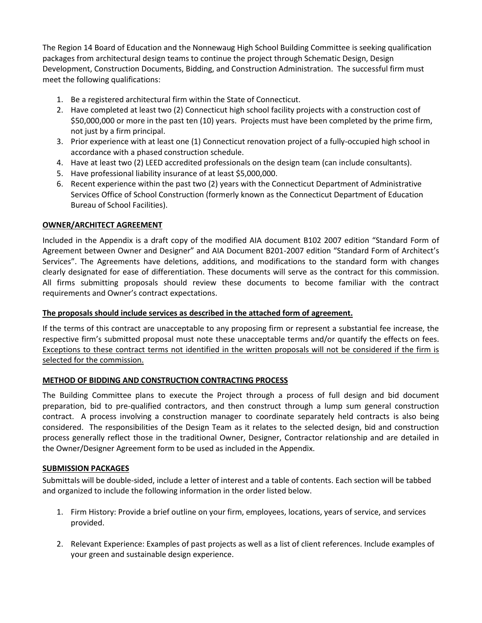The Region 14 Board of Education and the Nonnewaug High School Building Committee is seeking qualification packages from architectural design teams to continue the project through Schematic Design, Design Development, Construction Documents, Bidding, and Construction Administration. The successful firm must meet the following qualifications:

- 1. Be a registered architectural firm within the State of Connecticut.
- not just by a firm principal. 2. Have completed at least two (2) Connecticut high school facility projects with a construction cost of \$50,000,000 or more in the past ten (10) years. Projects must have been completed by the prime firm,
- 3. Prior experience with at least one (1) Connecticut renovation project of a fully-occupied high school in accordance with a phased construction schedule.
- 4. Have at least two (2) LEED accredited professionals on the design team (can include consultants).
- 5. Have professional liability insurance of at least \$5,000,000.
- 6. Recent experience within the past two (2) years with the Connecticut Department of Administrative Services Office of School Construction (formerly known as the Connecticut Department of Education Bureau of School Facilities).

## **OWNER/ARCHITECT AGREEMENT**

 Included in the Appendix is a draft copy of the modified AIA document B102 2007 edition "Standard Form of Agreement between Owner and Designer" and AIA Document B201-2007 edition "Standard Form of Architect's Services". The Agreements have deletions, additions, and modifications to the standard form with changes clearly designated for ease of differentiation. These documents will serve as the contract for this commission. All firms submitting proposals should review these documents to become familiar with the contract requirements and Owner's contract expectations.

### **The proposals should include services as described in the attached form of agreement.**

 If the terms of this contract are unacceptable to any proposing firm or represent a substantial fee increase, the Exceptions to these contract terms not identified in the written proposals will not be considered if the firm is respective firm's submitted proposal must note these unacceptable terms and/or quantify the effects on fees. selected for the commission.

### **METHOD OF BIDDING AND CONSTRUCTION CONTRACTING PROCESS**

 The Building Committee plans to execute the Project through a process of full design and bid document preparation, bid to pre-qualified contractors, and then construct through a lump sum general construction contract. A process involving a construction manager to coordinate separately held contracts is also being considered. The responsibilities of the Design Team as it relates to the selected design, bid and construction process generally reflect those in the traditional Owner, Designer, Contractor relationship and are detailed in the Owner/Designer Agreement form to be used as included in the Appendix.

### **SUBMISSION PACKAGES**

Submittals will be double-sided, include a letter of interest and a table of contents. Each section will be tabbed and organized to include the following information in the order listed below.

- 1. Firm History: Provide a brief outline on your firm, employees, locations, years of service, and services provided.
- 2. Relevant Experience: Examples of past projects as well as a list of client references. Include examples of your green and sustainable design experience.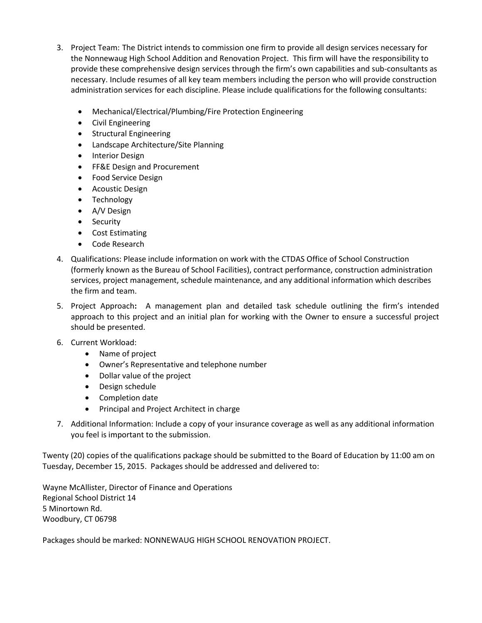- the Nonnewaug High School Addition and Renovation Project. This firm will have the responsibility to 3. Project Team: The District intends to commission one firm to provide all design services necessary for provide these comprehensive design services through the firm's own capabilities and sub-consultants as necessary. Include resumes of all key team members including the person who will provide construction administration services for each discipline. Please include qualifications for the following consultants:
	- Mechanical/Electrical/Plumbing/Fire Protection Engineering
	- Civil Engineering
	- **•** Structural Engineering
	- Landscape Architecture/Site Planning
	- Interior Design
	- FF&E Design and Procurement
	- Food Service Design
	- Acoustic Design
	- Technology
	- A/V Design
	- Security
	- Cost Estimating
	- Code Research
- the firm and team. 4. Qualifications: Please include information on work with the CTDAS Office of School Construction (formerly known as the Bureau of School Facilities), contract performance, construction administration services, project management, schedule maintenance, and any additional information which describes
- the firm and team. 5. Project Approach**:** A management plan and detailed task schedule outlining the firm's intended approach to this project and an initial plan for working with the Owner to ensure a successful project should be presented.
- 6. Current Workload:
	- Name of project
	- Owner's Representative and telephone number
	- Dollar value of the project
	- Design schedule
	- Completion date
	- Principal and Project Architect in charge
- 7. Additional Information: Include a copy of your insurance coverage as well as any additional information you feel is important to the submission.

 Twenty (20) copies of the qualifications package should be submitted to the Board of Education by 11:00 am on Tuesday, December 15, 2015. Packages should be addressed and delivered to:

Wayne McAllister, Director of Finance and Operations Regional School District 14 5 Minortown Rd. Woodbury, CT 06798

Packages should be marked: NONNEWAUG HIGH SCHOOL RENOVATION PROJECT.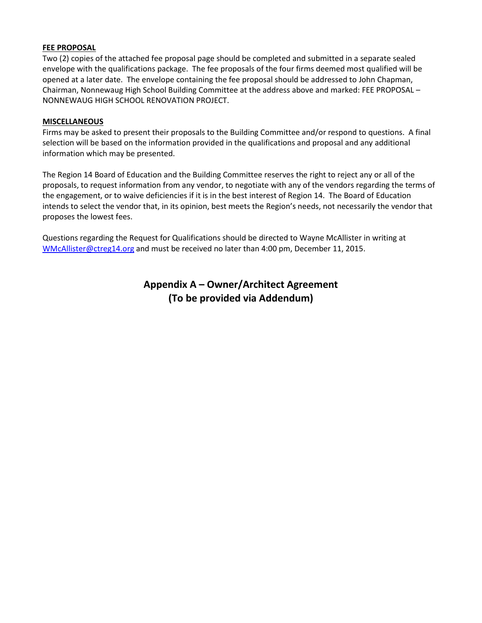### **FEE PROPOSAL**

 Chairman, Nonnewaug High School Building Committee at the address above and marked: FEE PROPOSAL – NONNEWAUG HIGH SCHOOL RENOVATION PROJECT. Two (2) copies of the attached fee proposal page should be completed and submitted in a separate sealed envelope with the qualifications package. The fee proposals of the four firms deemed most qualified will be opened at a later date. The envelope containing the fee proposal should be addressed to John Chapman,

#### **MISCELLANEOUS**

 Firms may be asked to present their proposals to the Building Committee and/or respond to questions. A final information which may be presented. selection will be based on the information provided in the qualifications and proposal and any additional

 The Region 14 Board of Education and the Building Committee reserves the right to reject any or all of the proposals, to request information from any vendor, to negotiate with any of the vendors regarding the terms of the engagement, or to waive deficiencies if it is in the best interest of Region 14. The Board of Education intends to select the vendor that, in its opinion, best meets the Region's needs, not necessarily the vendor that proposes the lowest fees.

[WMcAllister@ctreg14.org a](mailto:WMcAllister@ctreg14.org)nd must be received no later than 4:00 pm, December 11, 2015. Questions regarding the Request for Qualifications should be directed to Wayne McAllister in writing at

## **Appendix A – Owner/Architect Agreement (To be provided via Addendum)**